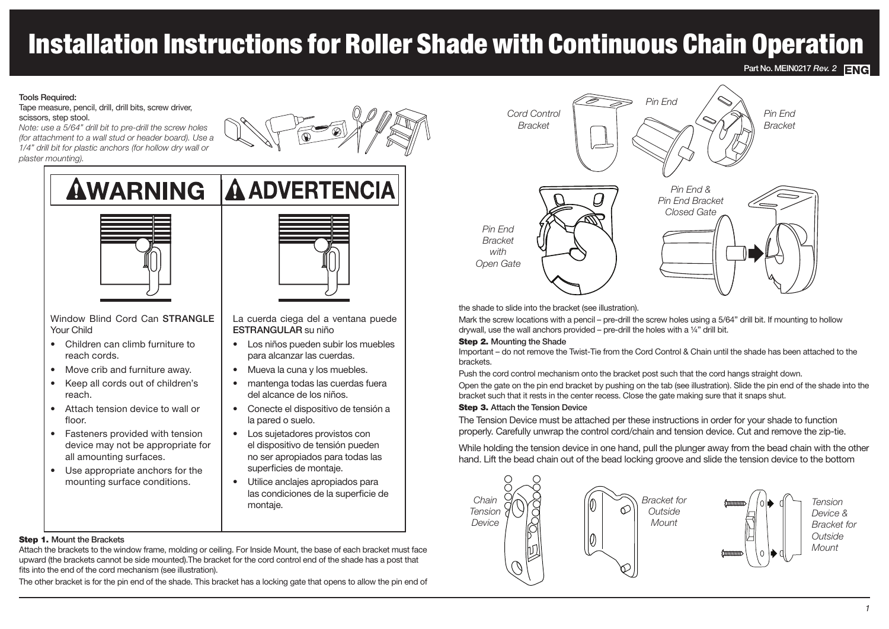# Installation Instructions for Roller Shade with Continuous Chain Operation

**Part No. MEIN0217** *Rev.* **2** ENG

#### Tools Required:

Tape measure, pencil, drill, drill bits, screw driver, scissors, step stool.

*Note: use a 5/64" drill bit to pre-drill the screw holes (for attachment to a wall stud or header board). Use a 1/4" drill bit for plastic anchors (for hollow dry wall or plaster mounting).*



# **AWARNING A ADVERTENCIA**



Window Blind Cord Can STRANGLE Your Child

- Children can climb furniture to reach cords.
- Move crib and furniture away.
- Keep all cords out of children's reach.
- Attach tension device to wall or floor.
- Fasteners provided with tension device may not be appropriate for all amounting surfaces.
- Use appropriate anchors for the mounting surface conditions.



La cuerda ciega del a ventana puede ESTRANGULAR su niño

- Los niños pueden subir los muebles para alcanzar las cuerdas.
- Mueva la cuna y los muebles.
- mantenga todas las cuerdas fuera del alcance de los niños.
- Conecte el dispositivo de tensión a la pared o suelo.
- Los sujetadores provistos con el dispositivo de tensión pueden no ser apropiados para todas las superficies de montaje.
- Utilice anclajes apropiados para las condiciones de la superficie de montaje.

### Step 1. Mount the Brackets

Attach the brackets to the window frame, molding or ceiling. For Inside Mount, the base of each bracket must face upward (the brackets cannot be side mounted).The bracket for the cord control end of the shade has a post that fits into the end of the cord mechanism (see illustration).

The other bracket is for the pin end of the shade. This bracket has a locking gate that opens to allow the pin end of



the shade to slide into the bracket (see illustration).

Mark the screw locations with a pencil – pre-drill the screw holes using a 5/64" drill bit. If mounting to hollow drywall, use the wall anchors provided – pre-drill the holes with a ¼" drill bit.

#### Step 2. Mounting the Shade

Important – do not remove the Twist-Tie from the Cord Control & Chain until the shade has been attached to the brackets.

Push the cord control mechanism onto the bracket post such that the cord hangs straight down.

Open the gate on the pin end bracket by pushing on the tab (see illustration). Slide the pin end of the shade into the bracket such that it rests in the center recess. Close the gate making sure that it snaps shut.

#### Step 3. Attach the Tension Device

The Tension Device must be attached per these instructions in order for your shade to function properly. Carefully unwrap the control cord/chain and tension device. Cut and remove the zip-tie.

While holding the tension device in one hand, pull the plunger away from the bead chain with the other hand. Lift the bead chain out of the bead locking groove and slide the tension device to the bottom